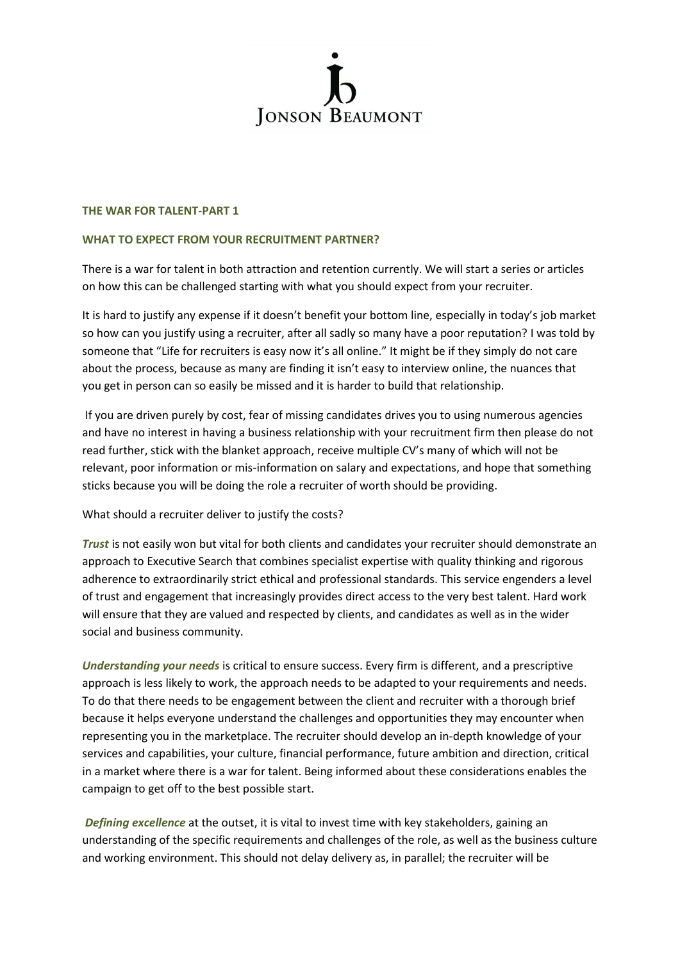

## **THE WAR FOR TALENT-PART 1**

## **WHAT TO EXPECT FROM YOUR RECRUITMENT PARTNER?**

There is a war for talent in both attraction and retention currently. We will start a series or articles on how this can be challenged starting with what you should expect from your recruiter.

It is hard to justify any expense if it doesn't benefit your bottom line, especially in today's job market so how can you justify using a recruiter, after all sadly so many have a poor reputation? I was told by someone that "Life for recruiters is easy now it's all online." It might be if they simply do not care about the process, because as many are finding it isn't easy to interview online, the nuances that you get in person can so easily be missed and it is harder to build that relationship.

If you are driven purely by cost, fear of missing candidates drives you to using numerous agencies and have no interest in having a business relationship with your recruitment firm then please do not read further, stick with the blanket approach, receive multiple CV's many of which will not be relevant, poor information or mis-information on salary and expectations, and hope that something sticks because you will be doing the role a recruiter of worth should be providing.

What should a recruiter deliver to justify the costs?

*Trust* is not easily won but vital for both clients and candidates your recruiter should demonstrate an approach to Executive Search that combines specialist expertise with quality thinking and rigorous adherence to extraordinarily strict ethical and professional standards. This service engenders a level of trust and engagement that increasingly provides direct access to the very best talent. Hard work will ensure that they are valued and respected by clients, and candidates as well as in the wider social and business community.

*Understanding your needs* is critical to ensure success. Every firm is different, and a prescriptive approach is less likely to work, the approach needs to be adapted to your requirements and needs. To do that there needs to be engagement between the client and recruiter with a thorough brief because it helps everyone understand the challenges and opportunities they may encounter when representing you in the marketplace. The recruiter should develop an in-depth knowledge of your services and capabilities, your culture, financial performance, future ambition and direction, critical in a market where there is a war for talent. Being informed about these considerations enables the campaign to get off to the best possible start.

*Defining excellence* at the outset, it is vital to invest time with key stakeholders, gaining an understanding of the specific requirements and challenges of the role, as well as the business culture and working environment. This should not delay delivery as, in parallel; the recruiter will be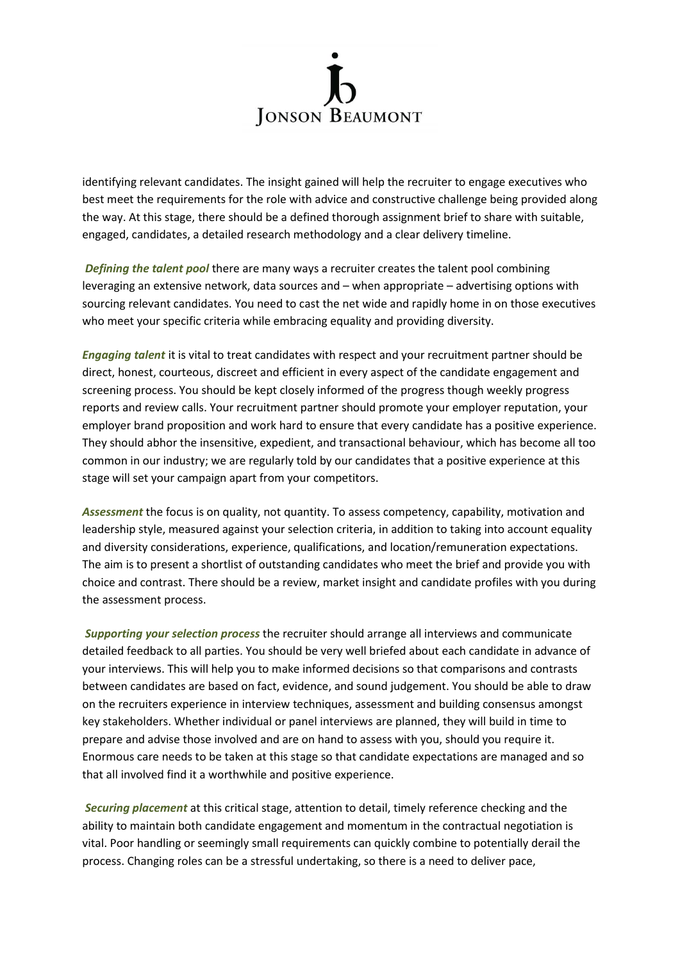

identifying relevant candidates. The insight gained will help the recruiter to engage executives who best meet the requirements for the role with advice and constructive challenge being provided along the way. At this stage, there should be a defined thorough assignment brief to share with suitable, engaged, candidates, a detailed research methodology and a clear delivery timeline.

*Defining the talent pool* there are many ways a recruiter creates the talent pool combining leveraging an extensive network, data sources and – when appropriate – advertising options with sourcing relevant candidates. You need to cast the net wide and rapidly home in on those executives who meet your specific criteria while embracing equality and providing diversity.

*Engaging talent* it is vital to treat candidates with respect and your recruitment partner should be direct, honest, courteous, discreet and efficient in every aspect of the candidate engagement and screening process. You should be kept closely informed of the progress though weekly progress reports and review calls. Your recruitment partner should promote your employer reputation, your employer brand proposition and work hard to ensure that every candidate has a positive experience. They should abhor the insensitive, expedient, and transactional behaviour, which has become all too common in our industry; we are regularly told by our candidates that a positive experience at this stage will set your campaign apart from your competitors.

*Assessment* the focus is on quality, not quantity. To assess competency, capability, motivation and leadership style, measured against your selection criteria, in addition to taking into account equality and diversity considerations, experience, qualifications, and location/remuneration expectations. The aim is to present a shortlist of outstanding candidates who meet the brief and provide you with choice and contrast. There should be a review, market insight and candidate profiles with you during the assessment process.

*Supporting your selection process* the recruiter should arrange all interviews and communicate detailed feedback to all parties. You should be very well briefed about each candidate in advance of your interviews. This will help you to make informed decisions so that comparisons and contrasts between candidates are based on fact, evidence, and sound judgement. You should be able to draw on the recruiters experience in interview techniques, assessment and building consensus amongst key stakeholders. Whether individual or panel interviews are planned, they will build in time to prepare and advise those involved and are on hand to assess with you, should you require it. Enormous care needs to be taken at this stage so that candidate expectations are managed and so that all involved find it a worthwhile and positive experience.

*Securing placement* at this critical stage, attention to detail, timely reference checking and the ability to maintain both candidate engagement and momentum in the contractual negotiation is vital. Poor handling or seemingly small requirements can quickly combine to potentially derail the process. Changing roles can be a stressful undertaking, so there is a need to deliver pace,